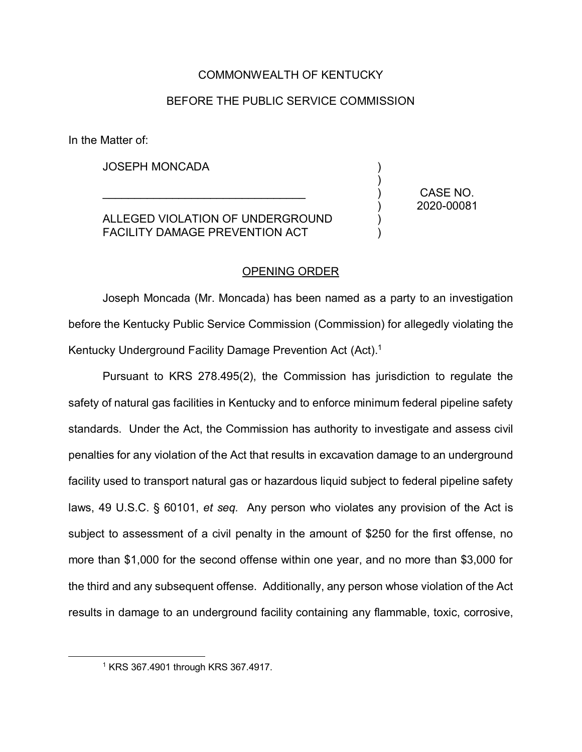#### COMMONWEALTH OF KENTUCKY

#### BEFORE THE PUBLIC SERVICE COMMISSION

In the Matter of:

JOSEPH MONCADA

ALLEGED VIOLATION OF UNDERGROUND FACILITY DAMAGE PREVENTION ACT

 $\mathcal{L}_\text{max}$  and  $\mathcal{L}_\text{max}$  and  $\mathcal{L}_\text{max}$  and  $\mathcal{L}_\text{max}$ 

CASE NO. 2020-00081

) ) ) ) ) )

#### OPENING ORDER

Joseph Moncada (Mr. Moncada) has been named as a party to an investigation before the Kentucky Public Service Commission (Commission) for allegedly violating the Kentucky Underground Facility Damage Prevention Act (Act). 1

Pursuant to KRS 278.495(2), the Commission has jurisdiction to regulate the safety of natural gas facilities in Kentucky and to enforce minimum federal pipeline safety standards. Under the Act, the Commission has authority to investigate and assess civil penalties for any violation of the Act that results in excavation damage to an underground facility used to transport natural gas or hazardous liquid subject to federal pipeline safety laws, 49 U.S.C. § 60101, *et seq.* Any person who violates any provision of the Act is subject to assessment of a civil penalty in the amount of \$250 for the first offense, no more than \$1,000 for the second offense within one year, and no more than \$3,000 for the third and any subsequent offense. Additionally, any person whose violation of the Act results in damage to an underground facility containing any flammable, toxic, corrosive,

 <sup>1</sup> KRS 367.4901 through KRS 367.4917.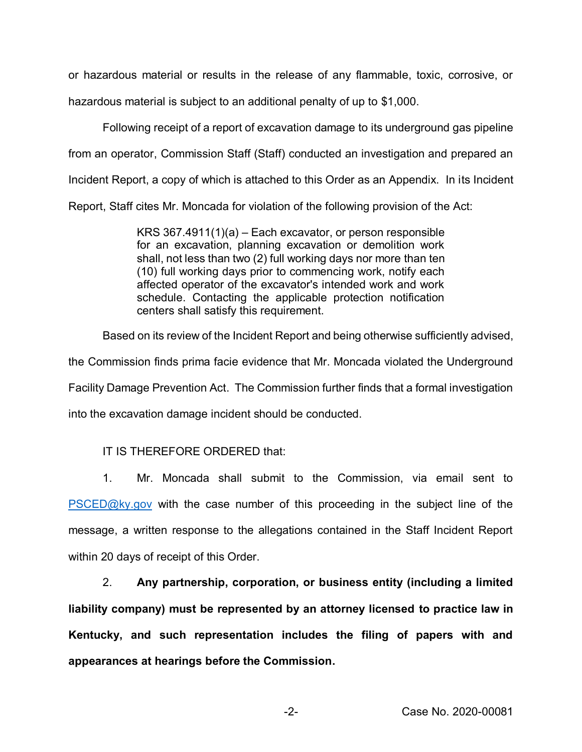or hazardous material or results in the release of any flammable, toxic, corrosive, or hazardous material is subject to an additional penalty of up to \$1,000.

Following receipt of a report of excavation damage to its underground gas pipeline from an operator, Commission Staff (Staff) conducted an investigation and prepared an Incident Report, a copy of which is attached to this Order as an Appendix. In its Incident Report, Staff cites Mr. Moncada for violation of the following provision of the Act:

> KRS 367.4911(1)(a) – Each excavator, or person responsible for an excavation, planning excavation or demolition work shall, not less than two (2) full working days nor more than ten (10) full working days prior to commencing work, notify each affected operator of the excavator's intended work and work schedule. Contacting the applicable protection notification centers shall satisfy this requirement.

Based on its review of the Incident Report and being otherwise sufficiently advised,

the Commission finds prima facie evidence that Mr. Moncada violated the Underground

Facility Damage Prevention Act. The Commission further finds that a formal investigation

into the excavation damage incident should be conducted.

IT IS THEREFORE ORDERED that:

1. Mr. Moncada shall submit to the Commission, via email sent to PSCED@ky.gov with the case number of this proceeding in the subject line of the message, a written response to the allegations contained in the Staff Incident Report within 20 days of receipt of this Order.

2. **Any partnership, corporation, or business entity (including a limited liability company) must be represented by an attorney licensed to practice law in Kentucky, and such representation includes the filing of papers with and appearances at hearings before the Commission.**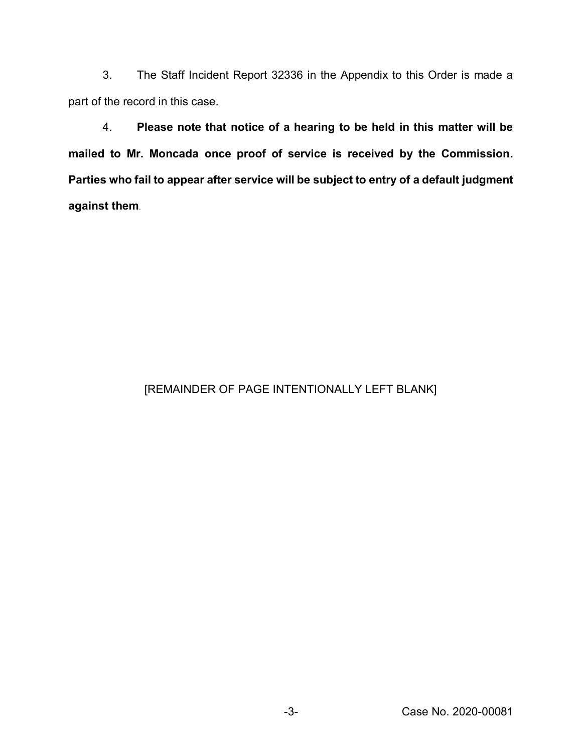3. The Staff Incident Report 32336 in the Appendix to this Order is made a part of the record in this case.

4. **Please note that notice of a hearing to be held in this matter will be mailed to Mr. Moncada once proof of service is received by the Commission. Parties who fail to appear after service will be subject to entry of a default judgment against them**.

#### [REMAINDER OF PAGE INTENTIONALLY LEFT BLANK]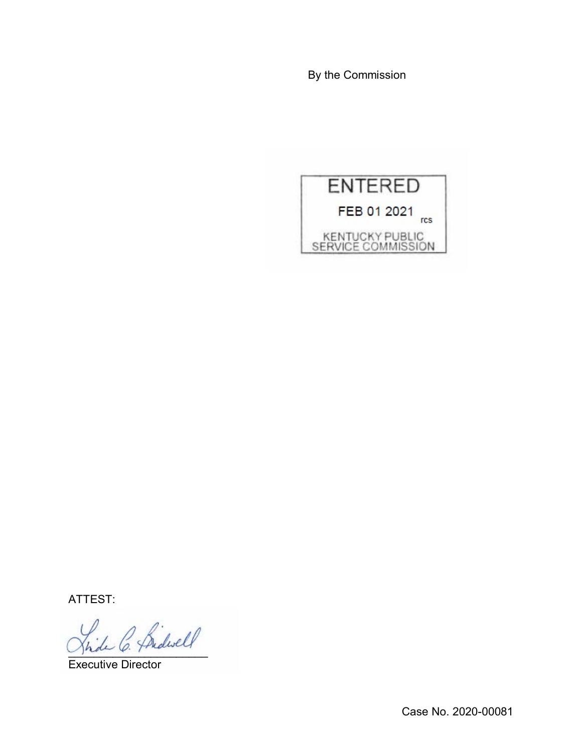By the Commission



ATTEST:

\_\_\_\_\_\_\_\_\_\_\_\_\_\_\_\_\_\_\_\_\_\_

Executive Director

Case No. 2020-00081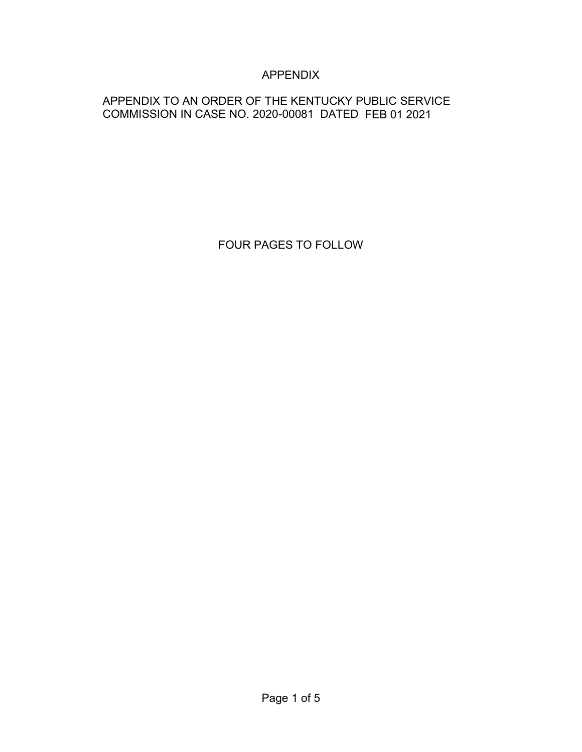### APPENDIX

#### APPENDIX TO AN ORDER OF THE KENTUCKY PUBLIC SERVICE COMMISSION IN CASE NO. 2020-00081 DATED FEB 01 2021

FOUR PAGES TO FOLLOW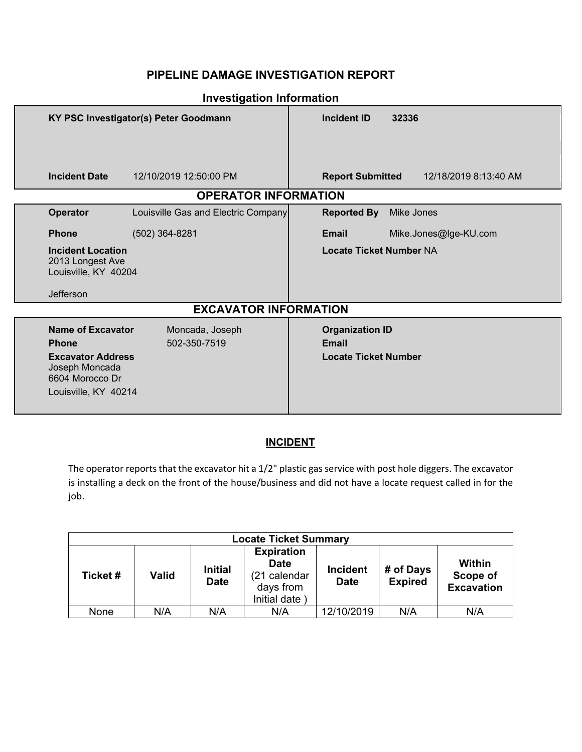#### **PIPELINE DAMAGE INVESTIGATION REPORT**

| KY PSC Investigator(s) Peter Goodmann                                                                                             |                                     | <b>Incident ID</b><br>32336                                           |  |  |  |
|-----------------------------------------------------------------------------------------------------------------------------------|-------------------------------------|-----------------------------------------------------------------------|--|--|--|
|                                                                                                                                   |                                     |                                                                       |  |  |  |
| <b>Incident Date</b>                                                                                                              | 12/10/2019 12:50:00 PM              | <b>Report Submitted</b><br>12/18/2019 8:13:40 AM                      |  |  |  |
|                                                                                                                                   | <b>OPERATOR INFORMATION</b>         |                                                                       |  |  |  |
| Operator                                                                                                                          | Louisville Gas and Electric Company | <b>Reported By</b><br>Mike Jones                                      |  |  |  |
| <b>Phone</b>                                                                                                                      | $(502)$ 364-8281                    | <b>Email</b><br>Mike.Jones@lge-KU.com                                 |  |  |  |
| <b>Incident Location</b><br>2013 Longest Ave<br>Louisville, KY 40204<br>Jefferson                                                 |                                     | <b>Locate Ticket Number NA</b>                                        |  |  |  |
| <b>EXCAVATOR INFORMATION</b>                                                                                                      |                                     |                                                                       |  |  |  |
| <b>Name of Excavator</b><br><b>Phone</b><br><b>Excavator Address</b><br>Joseph Moncada<br>6604 Morocco Dr<br>Louisville, KY 40214 | Moncada, Joseph<br>502-350-7519     | <b>Organization ID</b><br><b>Email</b><br><b>Locate Ticket Number</b> |  |  |  |

#### **Investigation Information**

#### **INCIDENT**

The operator reports that the excavator hit a 1/2" plastic gas service with post hole diggers. The excavator is installing a deck on the front of the house/business and did not have a locate request called in for the job.

| <b>Locate Ticket Summary</b> |              |                               |                                                                               |                                |                             |                                         |
|------------------------------|--------------|-------------------------------|-------------------------------------------------------------------------------|--------------------------------|-----------------------------|-----------------------------------------|
| Ticket#                      | <b>Valid</b> | <b>Initial</b><br><b>Date</b> | <b>Expiration</b><br><b>Date</b><br>(21 calendar<br>days from<br>Initial date | <b>Incident</b><br><b>Date</b> | # of Days<br><b>Expired</b> | Within<br>Scope of<br><b>Excavation</b> |
| None                         | N/A          | N/A                           | N/A                                                                           | 12/10/2019                     | N/A                         | N/A                                     |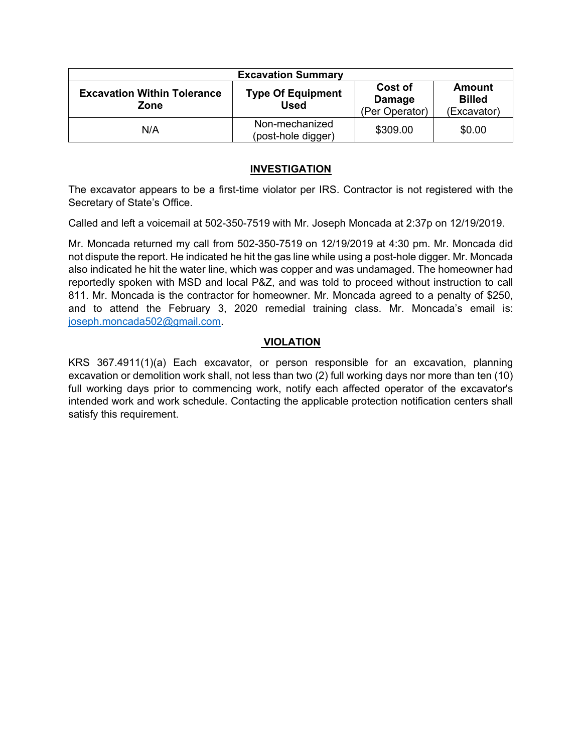| <b>Excavation Summary</b>                  |                                         |                                     |                                               |
|--------------------------------------------|-----------------------------------------|-------------------------------------|-----------------------------------------------|
| <b>Excavation Within Tolerance</b><br>Zone | <b>Type Of Equipment</b><br><b>Used</b> | Cost of<br>Damage<br>(Per Operator) | <b>Amount</b><br><b>Billed</b><br>(Excavator) |
| N/A                                        | Non-mechanized<br>(post-hole digger)    | \$309.00                            | \$0.00                                        |

#### **INVESTIGATION**

The excavator appears to be a first-time violator per IRS. Contractor is not registered with the Secretary of State's Office.

Called and left a voicemail at 502-350-7519 with Mr. Joseph Moncada at 2:37p on 12/19/2019.

Mr. Moncada returned my call from 502-350-7519 on 12/19/2019 at 4:30 pm. Mr. Moncada did not dispute the report. He indicated he hit the gas line while using a post-hole digger. Mr. Moncada also indicated he hit the water line, which was copper and was undamaged. The homeowner had reportedly spoken with MSD and local P&Z, and was told to proceed without instruction to call 811. Mr. Moncada is the contractor for homeowner. Mr. Moncada agreed to a penalty of \$250, and to attend the February 3, 2020 remedial training class. Mr. Moncada's email is: [joseph.moncada502@gmail.com.](mailto:joseph.moncada502@gmail.com)

#### **VIOLATION**

KRS 367.4911(1)(a) Each excavator, or person responsible for an excavation, planning excavation or demolition work shall, not less than two (2) full working days nor more than ten (10) full working days prior to commencing work, notify each affected operator of the excavator's intended work and work schedule. Contacting the applicable protection notification centers shall satisfy this requirement.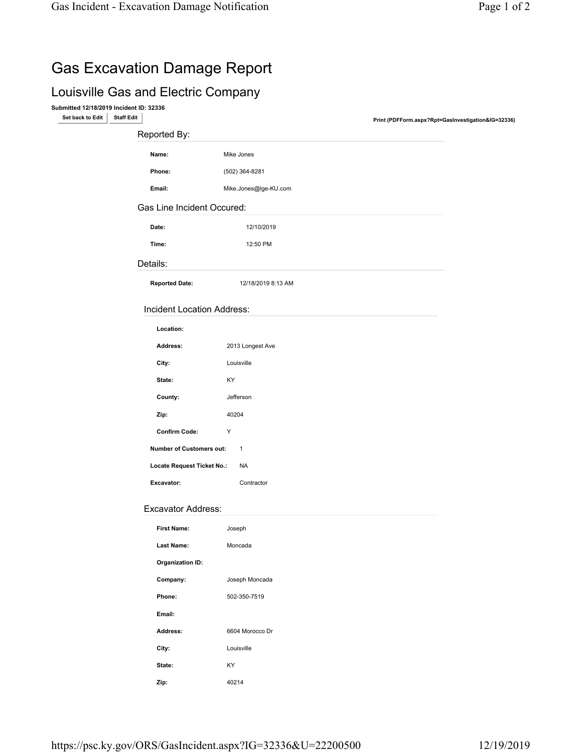# Gas Excavation Damage Report

## Louisville Gas and Electric Company

Submitted 12/18/2019 Incident ID: 32336

Print (PDFForm.aspx?Rpt=GasInvestigation&IG=32336) Staff Edit Staff Edit Staff Edit Staff Edit Staff Edit Staff Edit Staff Edit Staff Edit Staff Edit Staff Edit Staff Edit Staff Edit Staff Edit Staff Edit Staff Edit Staff

| Reported By:                                    |                       |  |  |
|-------------------------------------------------|-----------------------|--|--|
| Name:                                           | Mike Jones            |  |  |
| Phone:                                          | (502) 364-8281        |  |  |
| Email:                                          | Mike.Jones@lge-KU.com |  |  |
| Gas Line Incident Occured:                      |                       |  |  |
| Date:                                           | 12/10/2019            |  |  |
| Time:                                           | 12:50 PM              |  |  |
| Details:                                        |                       |  |  |
| <b>Reported Date:</b>                           | 12/18/2019 8:13 AM    |  |  |
| <b>Incident Location Address:</b>               |                       |  |  |
| Location:                                       |                       |  |  |
| Address:                                        | 2013 Longest Ave      |  |  |
| City:                                           | Louisville            |  |  |
| State:                                          | KY                    |  |  |
| County:                                         | Jefferson             |  |  |
| Zip:                                            | 40204                 |  |  |
| <b>Confirm Code:</b>                            | Y                     |  |  |
| <b>Number of Customers out:</b><br>$\mathbf{1}$ |                       |  |  |
| Locate Request Ticket No.:                      | <b>NA</b>             |  |  |

#### Excavator Address:

Excavator: Contractor

| <b>First Name:</b>      | Joseph          |  |
|-------------------------|-----------------|--|
| <b>Last Name:</b>       | Moncada         |  |
| <b>Organization ID:</b> |                 |  |
| Company:                | Joseph Moncada  |  |
| Phone:                  | 502-350-7519    |  |
| Email:                  |                 |  |
| Address:                | 6604 Morocco Dr |  |
| City:                   | Louisville      |  |
| State:                  | KY              |  |
| Zip:                    | 40214           |  |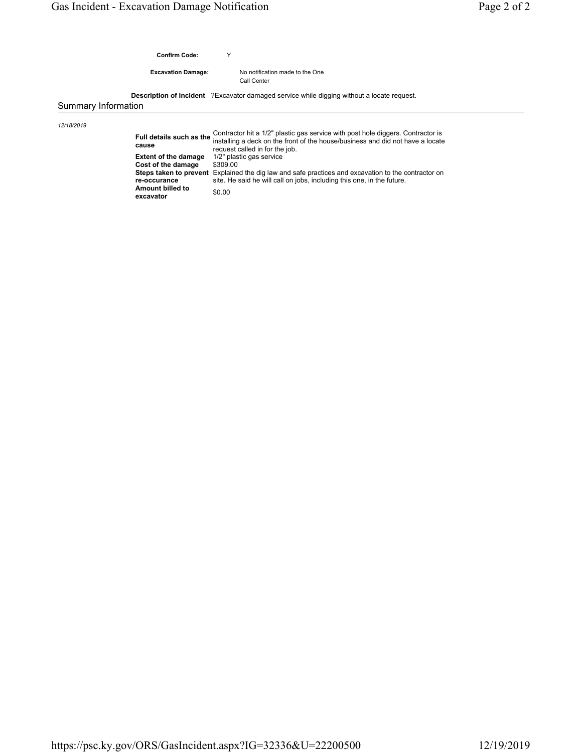Confirm Code: Y

Excavation Damage:

No notification made to the One Call Center

Description of Incident ?Excavator damaged service while digging without a locate request.

Summary Information

12/18/2019

|                               | Contractor hit a 1/2" plastic gas service with post hole diggers. Contractor is<br>Full details such as the installing a deck on the front of the house/business and did not have a locate<br>request called in for the job. |
|-------------------------------|------------------------------------------------------------------------------------------------------------------------------------------------------------------------------------------------------------------------------|
| <b>Extent of the damage</b>   | 1/2" plastic gas service                                                                                                                                                                                                     |
| Cost of the damage            | \$309.00                                                                                                                                                                                                                     |
|                               | <b>Steps taken to prevent</b> Explained the dig law and safe practices and excavation to the contractor on                                                                                                                   |
| re-occurance                  | site. He said he will call on jobs, including this one, in the future.                                                                                                                                                       |
| Amount billed to<br>excavator | \$0.00                                                                                                                                                                                                                       |